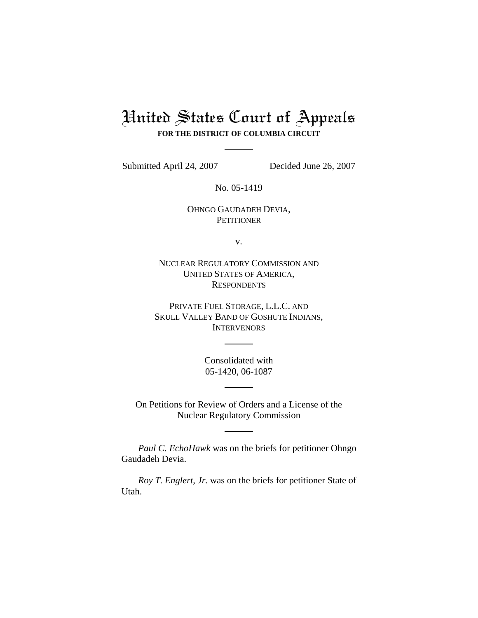## United States Court of Appeals **FOR THE DISTRICT OF COLUMBIA CIRCUIT**

Submitted April 24, 2007 Decided June 26, 2007

No. 05-1419

OHNGO GAUDADEH DEVIA, **PETITIONER** 

v.

NUCLEAR REGULATORY COMMISSION AND UNITED STATES OF AMERICA, **RESPONDENTS** 

PRIVATE FUEL STORAGE, L.L.C. AND SKULL VALLEY BAND OF GOSHUTE INDIANS, **INTERVENORS** 

> Consolidated with 05-1420, 06-1087

On Petitions for Review of Orders and a License of the Nuclear Regulatory Commission

*Paul C. EchoHawk* was on the briefs for petitioner Ohngo Gaudadeh Devia.

*Roy T. Englert, Jr.* was on the briefs for petitioner State of Utah.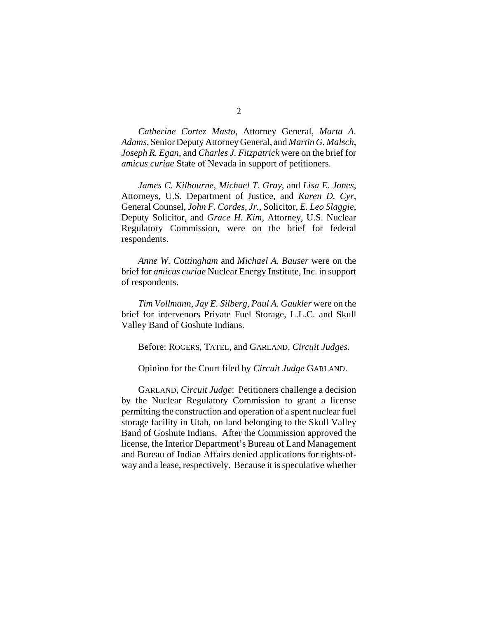*Catherine Cortez Masto*, Attorney General, *Marta A. Adams*, Senior Deputy Attorney General, and *Martin G. Malsch*, *Joseph R. Egan*, and *Charles J. Fitzpatrick* were on the brief for *amicus curiae* State of Nevada in support of petitioners.

*James C. Kilbourne*, *Michael T. Gray*, and *Lisa E. Jones*, Attorneys, U.S. Department of Justice, and *Karen D. Cyr*, General Counsel, *John F. Cordes, Jr.*, Solicitor, *E. Leo Slaggie*, Deputy Solicitor, and *Grace H. Kim*, Attorney, U.S. Nuclear Regulatory Commission, were on the brief for federal respondents.

*Anne W. Cottingham* and *Michael A. Bauser* were on the brief for *amicus curiae* Nuclear Energy Institute, Inc. in support of respondents.

*Tim Vollmann*, *Jay E. Silberg, Paul A. Gaukler* were on the brief for intervenors Private Fuel Storage, L.L.C. and Skull Valley Band of Goshute Indians.

Before: ROGERS, TATEL, and GARLAND, *Circuit Judges*.

Opinion for the Court filed by *Circuit Judge* GARLAND.

GARLAND, *Circuit Judge*: Petitioners challenge a decision by the Nuclear Regulatory Commission to grant a license permitting the construction and operation of a spent nuclear fuel storage facility in Utah, on land belonging to the Skull Valley Band of Goshute Indians. After the Commission approved the license, the Interior Department's Bureau of Land Management and Bureau of Indian Affairs denied applications for rights-ofway and a lease, respectively. Because it is speculative whether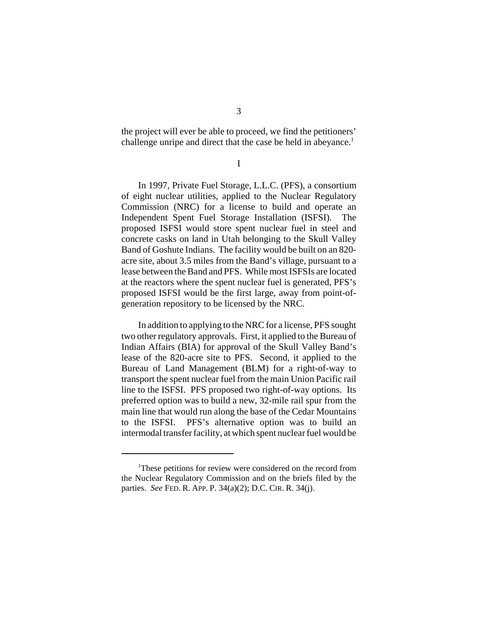the project will ever be able to proceed, we find the petitioners' challenge unripe and direct that the case be held in abeyance.<sup>1</sup>

I

In 1997, Private Fuel Storage, L.L.C. (PFS), a consortium of eight nuclear utilities, applied to the Nuclear Regulatory Commission (NRC) for a license to build and operate an Independent Spent Fuel Storage Installation (ISFSI). The proposed ISFSI would store spent nuclear fuel in steel and concrete casks on land in Utah belonging to the Skull Valley Band of Goshute Indians. The facility would be built on an 820 acre site, about 3.5 miles from the Band's village, pursuant to a lease between the Band and PFS. While most ISFSIs are located at the reactors where the spent nuclear fuel is generated, PFS's proposed ISFSI would be the first large, away from point-ofgeneration repository to be licensed by the NRC.

In addition to applying to the NRC for a license, PFS sought two other regulatory approvals. First, it applied to the Bureau of Indian Affairs (BIA) for approval of the Skull Valley Band's lease of the 820-acre site to PFS. Second, it applied to the Bureau of Land Management (BLM) for a right-of-way to transport the spent nuclear fuel from the main Union Pacific rail line to the ISFSI. PFS proposed two right-of-way options. Its preferred option was to build a new, 32-mile rail spur from the main line that would run along the base of the Cedar Mountains to the ISFSI. PFS's alternative option was to build an intermodal transfer facility, at which spent nuclear fuel would be

<sup>&</sup>lt;sup>1</sup>These petitions for review were considered on the record from the Nuclear Regulatory Commission and on the briefs filed by the parties. *See* FED. R. APP. P. 34(a)(2); D.C. CIR. R. 34(j).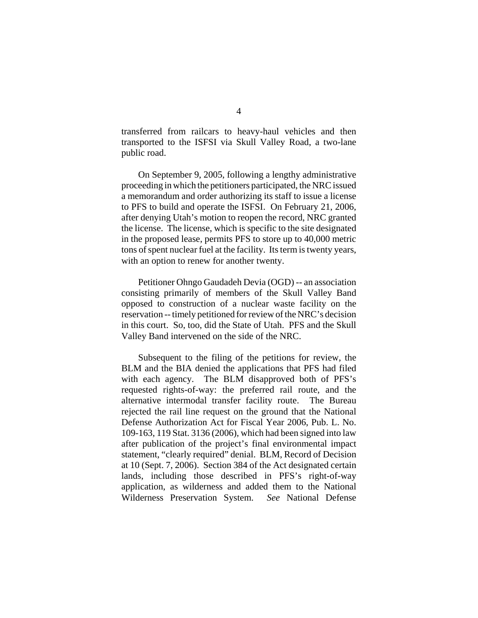transferred from railcars to heavy-haul vehicles and then transported to the ISFSI via Skull Valley Road, a two-lane public road.

On September 9, 2005, following a lengthy administrative proceeding in which the petitioners participated, the NRC issued a memorandum and order authorizing its staff to issue a license to PFS to build and operate the ISFSI. On February 21, 2006, after denying Utah's motion to reopen the record, NRC granted the license. The license, which is specific to the site designated in the proposed lease, permits PFS to store up to 40,000 metric tons of spent nuclear fuel at the facility. Its term is twenty years, with an option to renew for another twenty.

Petitioner Ohngo Gaudadeh Devia (OGD) -- an association consisting primarily of members of the Skull Valley Band opposed to construction of a nuclear waste facility on the reservation -- timely petitioned for review of the NRC's decision in this court. So, too, did the State of Utah. PFS and the Skull Valley Band intervened on the side of the NRC.

Subsequent to the filing of the petitions for review, the BLM and the BIA denied the applications that PFS had filed with each agency. The BLM disapproved both of PFS's requested rights-of-way: the preferred rail route, and the alternative intermodal transfer facility route. The Bureau rejected the rail line request on the ground that the National Defense Authorization Act for Fiscal Year 2006, Pub. L. No. 109-163, 119 Stat. 3136 (2006), which had been signed into law after publication of the project's final environmental impact statement, "clearly required" denial. BLM, Record of Decision at 10 (Sept. 7, 2006). Section 384 of the Act designated certain lands, including those described in PFS's right-of-way application, as wilderness and added them to the National Wilderness Preservation System. *See* National Defense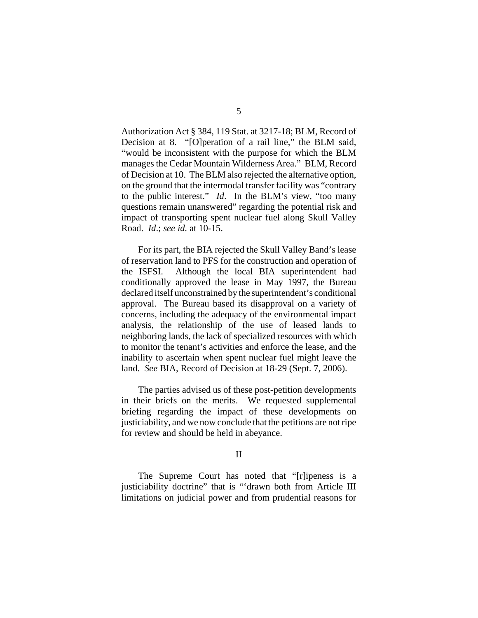Authorization Act § 384, 119 Stat. at 3217-18; BLM, Record of Decision at 8. "[O] peration of a rail line," the BLM said, "would be inconsistent with the purpose for which the BLM manages the Cedar Mountain Wilderness Area." BLM, Record of Decision at 10. The BLM also rejected the alternative option, on the ground that the intermodal transfer facility was "contrary to the public interest." *Id*. In the BLM's view, "too many questions remain unanswered" regarding the potential risk and impact of transporting spent nuclear fuel along Skull Valley Road. *Id*.; *see id.* at 10-15.

For its part, the BIA rejected the Skull Valley Band's lease of reservation land to PFS for the construction and operation of the ISFSI. Although the local BIA superintendent had conditionally approved the lease in May 1997, the Bureau declared itself unconstrained by the superintendent's conditional approval. The Bureau based its disapproval on a variety of concerns, including the adequacy of the environmental impact analysis, the relationship of the use of leased lands to neighboring lands, the lack of specialized resources with which to monitor the tenant's activities and enforce the lease, and the inability to ascertain when spent nuclear fuel might leave the land. *See* BIA, Record of Decision at 18-29 (Sept. 7, 2006).

The parties advised us of these post-petition developments in their briefs on the merits. We requested supplemental briefing regarding the impact of these developments on justiciability, and we now conclude that the petitions are not ripe for review and should be held in abeyance.

## II

The Supreme Court has noted that "[r]ipeness is a justiciability doctrine" that is "'drawn both from Article III limitations on judicial power and from prudential reasons for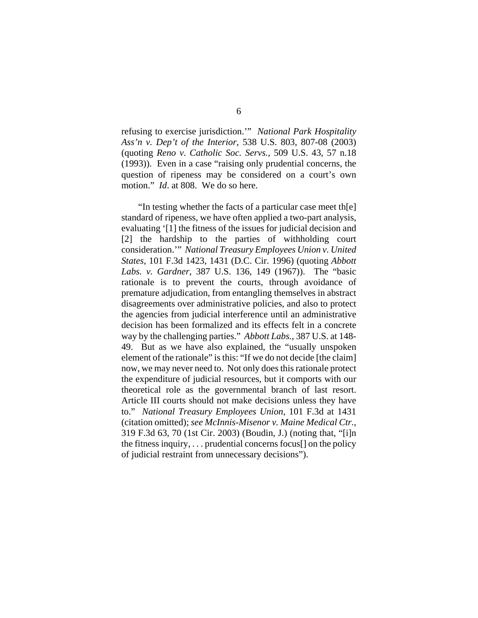refusing to exercise jurisdiction.'" *National Park Hospitality Ass'n v. Dep't of the Interior*, 538 U.S. 803, 807-08 (2003) (quoting *Reno v. Catholic Soc. Servs.*, 509 U.S. 43, 57 n.18 (1993)). Even in a case "raising only prudential concerns, the question of ripeness may be considered on a court's own motion." *Id*. at 808. We do so here.

"In testing whether the facts of a particular case meet th[e] standard of ripeness, we have often applied a two-part analysis, evaluating '[1] the fitness of the issues for judicial decision and [2] the hardship to the parties of withholding court consideration.'" *National Treasury Employees Union v. United States*, 101 F.3d 1423, 1431 (D.C. Cir. 1996) (quoting *Abbott Labs. v. Gardner*, 387 U.S. 136, 149 (1967)). The "basic rationale is to prevent the courts, through avoidance of premature adjudication, from entangling themselves in abstract disagreements over administrative policies, and also to protect the agencies from judicial interference until an administrative decision has been formalized and its effects felt in a concrete way by the challenging parties." *Abbott Labs.*, 387 U.S. at 148- 49. But as we have also explained, the "usually unspoken element of the rationale" is this: "If we do not decide [the claim] now, we may never need to. Not only does this rationale protect the expenditure of judicial resources, but it comports with our theoretical role as the governmental branch of last resort. Article III courts should not make decisions unless they have to." *National Treasury Employees Union*, 101 F.3d at 1431 (citation omitted); *see McInnis-Misenor v. Maine Medical Ctr.*, 319 F.3d 63, 70 (1st Cir. 2003) (Boudin, J.) (noting that, "[i]n the fitness inquiry,  $\ldots$  prudential concerns focus[] on the policy of judicial restraint from unnecessary decisions").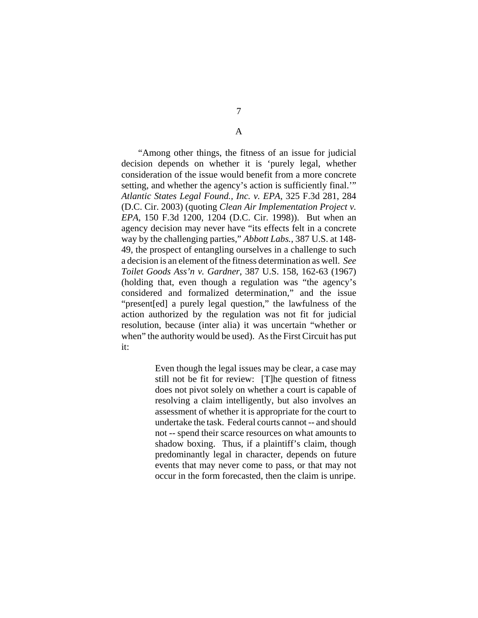7

A

"Among other things, the fitness of an issue for judicial decision depends on whether it is 'purely legal, whether consideration of the issue would benefit from a more concrete setting, and whether the agency's action is sufficiently final.'" *Atlantic States Legal Found., Inc. v. EPA*, 325 F.3d 281, 284 (D.C. Cir. 2003) (quoting *Clean Air Implementation Project v. EPA*, 150 F.3d 1200, 1204 (D.C. Cir. 1998)). But when an agency decision may never have "its effects felt in a concrete way by the challenging parties," *Abbott Labs.*, 387 U.S. at 148- 49, the prospect of entangling ourselves in a challenge to such a decision is an element of the fitness determination as well. *See Toilet Goods Ass'n v. Gardner*, 387 U.S. 158, 162-63 (1967) (holding that, even though a regulation was "the agency's considered and formalized determination," and the issue "present[ed] a purely legal question," the lawfulness of the action authorized by the regulation was not fit for judicial resolution, because (inter alia) it was uncertain "whether or when" the authority would be used). As the First Circuit has put it:

> Even though the legal issues may be clear, a case may still not be fit for review: [T]he question of fitness does not pivot solely on whether a court is capable of resolving a claim intelligently, but also involves an assessment of whether it is appropriate for the court to undertake the task. Federal courts cannot -- and should not -- spend their scarce resources on what amounts to shadow boxing. Thus, if a plaintiff's claim, though predominantly legal in character, depends on future events that may never come to pass, or that may not occur in the form forecasted, then the claim is unripe.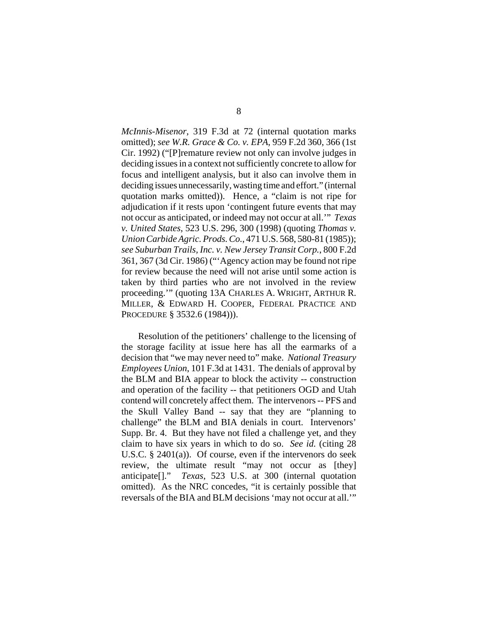*McInnis-Misenor*, 319 F.3d at 72 (internal quotation marks omitted); *see W.R. Grace & Co. v. EPA*, 959 F.2d 360, 366 (1st Cir. 1992) ("[P]remature review not only can involve judges in deciding issues in a context not sufficiently concrete to allow for focus and intelligent analysis, but it also can involve them in deciding issues unnecessarily, wasting time and effort." (internal quotation marks omitted)). Hence, a "claim is not ripe for adjudication if it rests upon 'contingent future events that may not occur as anticipated, or indeed may not occur at all.'" *Texas v. United States*, 523 U.S. 296, 300 (1998) (quoting *Thomas v. Union Carbide Agric. Prods. Co.*, 471 U.S. 568, 580-81 (1985)); *see Suburban Trails, Inc. v. New Jersey Transit Corp.*, 800 F.2d 361, 367 (3d Cir. 1986) ("'Agency action may be found not ripe for review because the need will not arise until some action is taken by third parties who are not involved in the review proceeding.'" (quoting 13A CHARLES A. WRIGHT, ARTHUR R. MILLER, & EDWARD H. COOPER, FEDERAL PRACTICE AND PROCEDURE § 3532.6 (1984))).

Resolution of the petitioners' challenge to the licensing of the storage facility at issue here has all the earmarks of a decision that "we may never need to" make. *National Treasury Employees Union*, 101 F.3d at 1431. The denials of approval by the BLM and BIA appear to block the activity -- construction and operation of the facility -- that petitioners OGD and Utah contend will concretely affect them. The intervenors -- PFS and the Skull Valley Band -- say that they are "planning to challenge" the BLM and BIA denials in court. Intervenors' Supp. Br. 4. But they have not filed a challenge yet, and they claim to have six years in which to do so. *See id.* (citing 28 U.S.C. § 2401(a)). Of course, even if the intervenors do seek review, the ultimate result "may not occur as [they] anticipate[]." *Texas*, 523 U.S. at 300 (internal quotation omitted). As the NRC concedes, "it is certainly possible that reversals of the BIA and BLM decisions 'may not occur at all.'"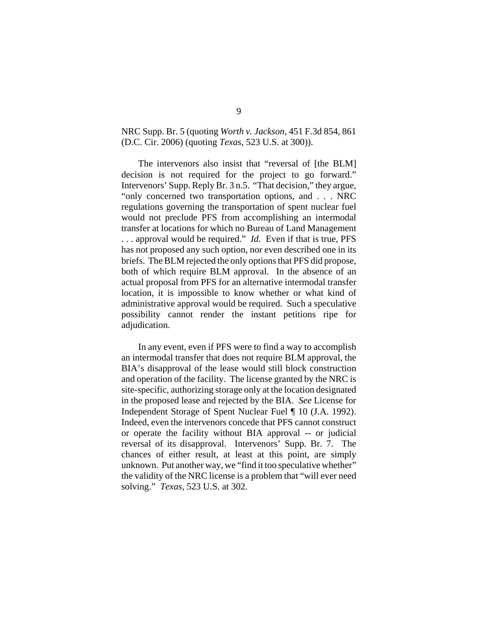## NRC Supp. Br. 5 (quoting *Worth v. Jackson*, 451 F.3d 854, 861 (D.C. Cir. 2006) (quoting *Texas*, 523 U.S. at 300)).

The intervenors also insist that "reversal of [the BLM] decision is not required for the project to go forward." Intervenors' Supp. Reply Br. 3 n.5. "That decision," they argue, "only concerned two transportation options, and . . . NRC regulations governing the transportation of spent nuclear fuel would not preclude PFS from accomplishing an intermodal transfer at locations for which no Bureau of Land Management . . . approval would be required." *Id*. Even if that is true, PFS has not proposed any such option, nor even described one in its briefs. The BLM rejected the only options that PFS did propose, both of which require BLM approval. In the absence of an actual proposal from PFS for an alternative intermodal transfer location, it is impossible to know whether or what kind of administrative approval would be required. Such a speculative possibility cannot render the instant petitions ripe for adjudication.

In any event, even if PFS were to find a way to accomplish an intermodal transfer that does not require BLM approval, the BIA's disapproval of the lease would still block construction and operation of the facility. The license granted by the NRC is site-specific, authorizing storage only at the location designated in the proposed lease and rejected by the BIA. *See* License for Independent Storage of Spent Nuclear Fuel ¶ 10 (J.A. 1992). Indeed, even the intervenors concede that PFS cannot construct or operate the facility without BIA approval -- or judicial reversal of its disapproval. Intervenors' Supp. Br. 7. The chances of either result, at least at this point, are simply unknown. Put another way, we "find it too speculative whether" the validity of the NRC license is a problem that "will ever need solving." *Texas*, 523 U.S. at 302.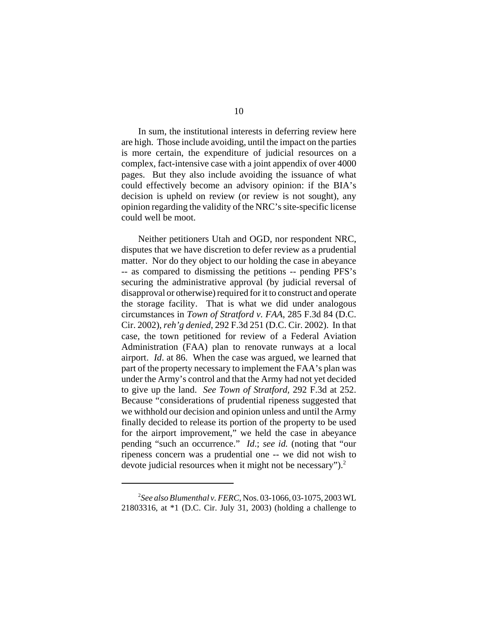In sum, the institutional interests in deferring review here are high. Those include avoiding, until the impact on the parties is more certain, the expenditure of judicial resources on a complex, fact-intensive case with a joint appendix of over 4000 pages. But they also include avoiding the issuance of what could effectively become an advisory opinion: if the BIA's decision is upheld on review (or review is not sought), any opinion regarding the validity of the NRC's site-specific license could well be moot.

Neither petitioners Utah and OGD, nor respondent NRC, disputes that we have discretion to defer review as a prudential matter. Nor do they object to our holding the case in abeyance -- as compared to dismissing the petitions -- pending PFS's securing the administrative approval (by judicial reversal of disapproval or otherwise) required for it to construct and operate the storage facility. That is what we did under analogous circumstances in *Town of Stratford v. FAA*, 285 F.3d 84 (D.C. Cir. 2002), *reh'g denied*, 292 F.3d 251 (D.C. Cir. 2002). In that case, the town petitioned for review of a Federal Aviation Administration (FAA) plan to renovate runways at a local airport. *Id*. at 86. When the case was argued, we learned that part of the property necessary to implement the FAA's plan was under the Army's control and that the Army had not yet decided to give up the land. *See Town of Stratford,* 292 F.3d at 252. Because "considerations of prudential ripeness suggested that we withhold our decision and opinion unless and until the Army finally decided to release its portion of the property to be used for the airport improvement," we held the case in abeyance pending "such an occurrence." *Id*.; *see id.* (noting that "our ripeness concern was a prudential one -- we did not wish to devote judicial resources when it might not be necessary").<sup>2</sup>

<sup>2</sup> *See also Blumenthal v. FERC*, Nos. 03-1066, 03-1075, 2003 WL 21803316, at \*1 (D.C. Cir. July 31, 2003) (holding a challenge to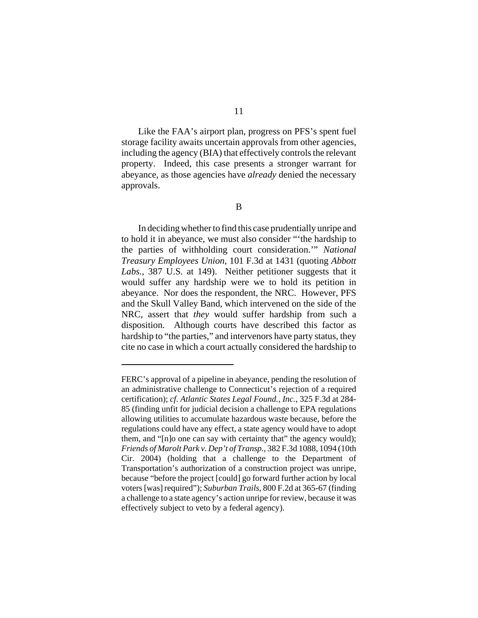Like the FAA's airport plan, progress on PFS's spent fuel storage facility awaits uncertain approvals from other agencies, including the agency (BIA) that effectively controls the relevant property. Indeed, this case presents a stronger warrant for abeyance, as those agencies have *already* denied the necessary approvals.

In deciding whether to find this case prudentially unripe and to hold it in abeyance, we must also consider "'the hardship to the parties of withholding court consideration.'" *National Treasury Employees Union*, 101 F.3d at 1431 (quoting *Abbott Labs.*, 387 U.S. at 149). Neither petitioner suggests that it would suffer any hardship were we to hold its petition in abeyance. Nor does the respondent, the NRC. However, PFS and the Skull Valley Band, which intervened on the side of the NRC, assert that *they* would suffer hardship from such a disposition. Although courts have described this factor as hardship to "the parties," and intervenors have party status, they cite no case in which a court actually considered the hardship to

FERC's approval of a pipeline in abeyance, pending the resolution of an administrative challenge to Connecticut's rejection of a required certification); *cf. Atlantic States Legal Found., Inc.*, 325 F.3d at 284- 85 (finding unfit for judicial decision a challenge to EPA regulations allowing utilities to accumulate hazardous waste because, before the regulations could have any effect, a state agency would have to adopt them, and "[n]o one can say with certainty that" the agency would); *Friends of Marolt Park v. Dep't of Transp.*, 382 F.3d 1088, 1094 (10th Cir. 2004) (holding that a challenge to the Department of Transportation's authorization of a construction project was unripe, because "before the project [could] go forward further action by local voters [was] required"); *Suburban Trails*, 800 F.2d at 365-67 (finding a challenge to a state agency's action unripe for review, because it was effectively subject to veto by a federal agency).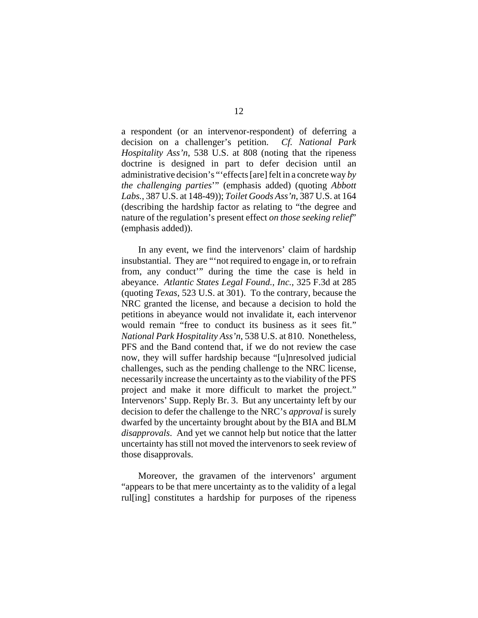a respondent (or an intervenor-respondent) of deferring a decision on a challenger's petition. *Cf. National Park Hospitality Ass'n*, 538 U.S. at 808 (noting that the ripeness doctrine is designed in part to defer decision until an administrative decision's "'effects [are] felt in a concrete way *by the challenging parties*'" (emphasis added) (quoting *Abbott Labs.*, 387 U.S. at 148-49)); *Toilet Goods Ass'n*, 387 U.S. at 164 (describing the hardship factor as relating to "the degree and nature of the regulation's present effect *on those seeking relief*" (emphasis added)).

In any event, we find the intervenors' claim of hardship insubstantial. They are "'not required to engage in, or to refrain from, any conduct'" during the time the case is held in abeyance. *Atlantic States Legal Found., Inc.*, 325 F.3d at 285 (quoting *Texas*, 523 U.S. at 301). To the contrary, because the NRC granted the license, and because a decision to hold the petitions in abeyance would not invalidate it, each intervenor would remain "free to conduct its business as it sees fit." *National Park Hospitality Ass'n*, 538 U.S. at 810. Nonetheless, PFS and the Band contend that, if we do not review the case now, they will suffer hardship because "[u]nresolved judicial challenges, such as the pending challenge to the NRC license, necessarily increase the uncertainty as to the viability of the PFS project and make it more difficult to market the project." Intervenors' Supp. Reply Br. 3. But any uncertainty left by our decision to defer the challenge to the NRC's *approval* is surely dwarfed by the uncertainty brought about by the BIA and BLM *disapprovals*. And yet we cannot help but notice that the latter uncertainty has still not moved the intervenors to seek review of those disapprovals.

Moreover, the gravamen of the intervenors' argument "appears to be that mere uncertainty as to the validity of a legal rul[ing] constitutes a hardship for purposes of the ripeness